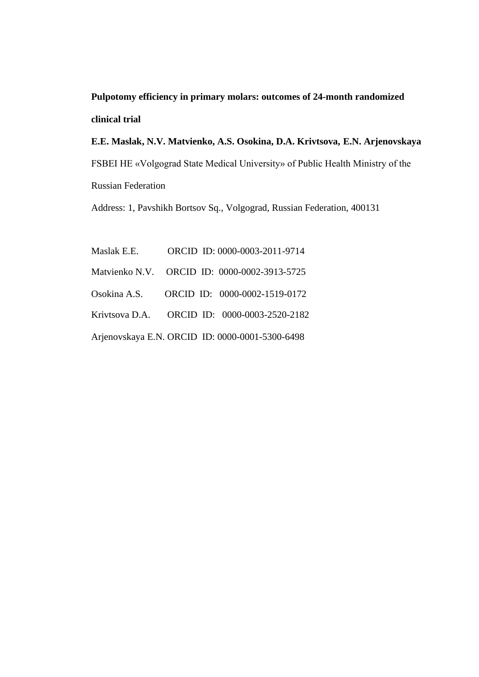**Pulpotomy efficiency in primary molars: outcomes of 24-month randomized clinical trial** 

**E.E. Maslak, N.V. Matvienko, A.S. Osokina, D.A. Krivtsova, E.N. Arjenovskaya** FSBEI HE «Volgograd State Medical University» of Public Health Ministry of the Russian Federation

Address: 1, Pavshikh Bortsov Sq., Volgograd, Russian Federation, 400131

| Maslak E.E. | ORCID ID: 0000-0003-2011-9714                   |
|-------------|-------------------------------------------------|
|             | Matvienko N.V. ORCID ID: 0000-0002-3913-5725    |
|             | Osokina A.S. ORCID ID: 0000-0002-1519-0172      |
|             | Krivtsova D.A. ORCID ID: 0000-0003-2520-2182    |
|             | Arjenovskaya E.N. ORCID ID: 0000-0001-5300-6498 |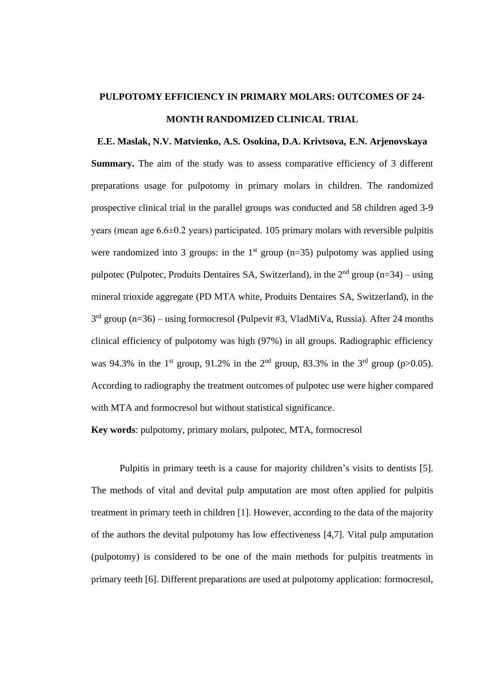## **PULPOTOMY EFFICIENCY IN PRIMARY MOLARS: OUTCOMES OF 24- MONTH RANDOMIZED CLINICAL TRIAL**

**E.E. Maslak, N.V. Matvienko, A.S. Osokina, D.A. Krivtsova, E.N. Arjenovskaya Summary.** The aim of the study was to assess comparative efficiency of 3 different preparations usage for pulpotomy in primary molars in children. The randomized prospective clinical trial in the parallel groups was conducted and 58 children aged 3-9 years (mean age 6.6±0.2 years) participated. 105 primary molars with reversible pulpitis were randomized into 3 groups: in the 1<sup>st</sup> group ( $n=35$ ) pulpotomy was applied using pulpotec (Pulpotec, Produits Dentaires SA, Switzerland), in the  $2<sup>nd</sup>$  group (n=34) – using mineral trioxide aggregate (PD МТА white, Produits Dentaires SA, Switzerland), in the 3<sup>rd</sup> group (n=36) – using formocresol (Pulpevit #3, VladMiVa, Russia). After 24 months clinical efficiency of pulpotomy was high (97%) in all groups. Radiographic efficiency was 94.3% in the 1<sup>st</sup> group, 91.2% in the 2<sup>nd</sup> group, 83.3% in the 3<sup>rd</sup> group (p $>0.05$ ). According to radiography the treatment outcomes of pulpotec use were higher compared with MTA and formocresol but without statistical significance.

**Key words**: pulpotomy, primary molars, pulpotec, MTA, formocresol

Pulpitis in primary teeth is a cause for majority children's visits to dentists [5]. The methods of vital and devital pulp amputation are most often applied for pulpitis treatment in primary teeth in children [1]. However, according to the data of the majority of the authors the devital pulpotomy has low effectiveness [4,7]. Vital pulp amputation (pulpotomy) is considered to be one of the main methods for pulpitis treatments in primary teeth [6]. Different preparations are used at pulpotomy application: formocresol,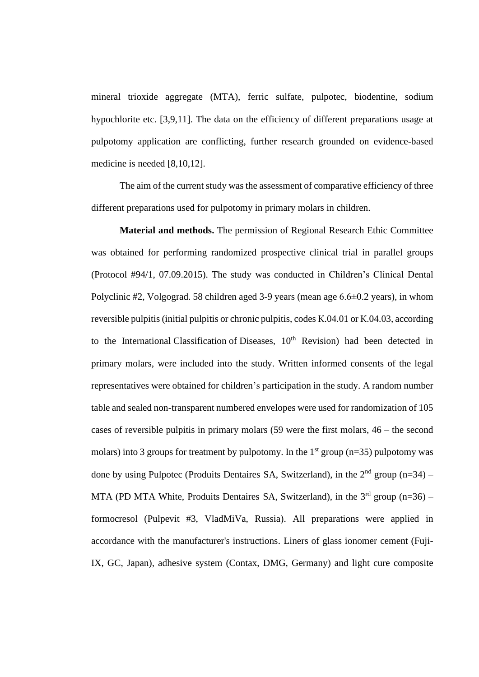mineral trioxide aggregate (MTA), ferric sulfate, pulpotec, biodentine, sodium hypochlorite etc. [3,9,11]. The data on the efficiency of different preparations usage at pulpotomy application are conflicting, further research grounded on evidence-based medicine is needed [8,10,12].

The aim of the current study was the assessment of comparative efficiency of three different preparations used for pulpotomy in primary molars in children.

**Material and methods.** The permission of Regional Research Ethic Committee was obtained for performing randomized prospective clinical trial in parallel groups (Protocol #94/1, 07.09.2015). The study was conducted in Children's Clinical Dental Polyclinic #2, Volgograd. 58 children aged 3-9 years (mean age 6.6±0.2 years), in whom reversible pulpitis (initial pulpitis or chronic pulpitis, codes К.04.01 or К.04.03, according to the International Classification of Diseases,  $10<sup>th</sup>$  Revision) had been detected in primary molars, were included into the study. Written informed consents of the legal representatives were obtained for children's participation in the study. A random number table and sealed non-transparent numbered envelopes were used for randomization of 105 cases of reversible pulpitis in primary molars (59 were the first molars, 46 – the second molars) into 3 groups for treatment by pulpotomy. In the  $1<sup>st</sup>$  group (n=35) pulpotomy was done by using Pulpotec (Produits Dentaires SA, Switzerland), in the  $2<sup>nd</sup>$  group (n=34) – MTA (PD MTA White, Produits Dentaires SA, Switzerland), in the  $3<sup>rd</sup>$  group (n=36) – formocresol (Pulpevit #3, VladMiVa, Russia). All preparations were applied in accordance with the manufacturer's instructions. Liners of glass ionomer cement (Fuji-IX, GC, Japan), adhesive system (Contax, DMG, Germany) and light cure composite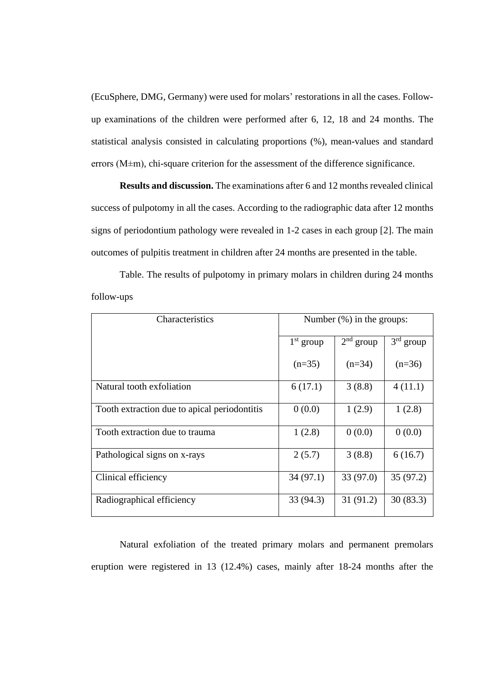(EcuSphere, DMG, Germany) were used for molars' restorations in all the cases. Followup examinations of the children were performed after 6, 12, 18 and 24 months. The statistical analysis consisted in calculating proportions (%), mean-values and standard errors (M±m), chi-square criterion for the assessment of the difference significance.

**Results and discussion.** The examinations after 6 and 12 months revealed clinical success of pulpotomy in all the cases. According to the radiographic data after 12 months signs of periodontium pathology were revealed in 1-2 cases in each group [2]. The main outcomes of pulpitis treatment in children after 24 months are presented in the table.

Table. The results of pulpotomy in primary molars in children during 24 months follow-ups

| Characteristics                              | Number $(\%)$ in the groups: |             |             |
|----------------------------------------------|------------------------------|-------------|-------------|
|                                              | $1st$ group                  | $2nd$ group | $3rd$ group |
|                                              | $(n=35)$                     | $(n=34)$    | $(n=36)$    |
| Natural tooth exfoliation                    | 6(17.1)                      | 3(8.8)      | 4(11.1)     |
| Tooth extraction due to apical periodontitis | 0(0.0)                       | 1(2.9)      | 1(2.8)      |
| Tooth extraction due to trauma               | 1(2.8)                       | 0(0.0)      | 0(0.0)      |
| Pathological signs on x-rays                 | 2(5.7)                       | 3(8.8)      | 6(16.7)     |
| Clinical efficiency                          | 34(97.1)                     | 33(97.0)    | 35(97.2)    |
| Radiographical efficiency                    | 33 (94.3)                    | 31(91.2)    | 30(83.3)    |

Natural exfoliation of the treated primary molars and permanent premolars eruption were registered in 13 (12.4%) cases, mainly after 18-24 months after the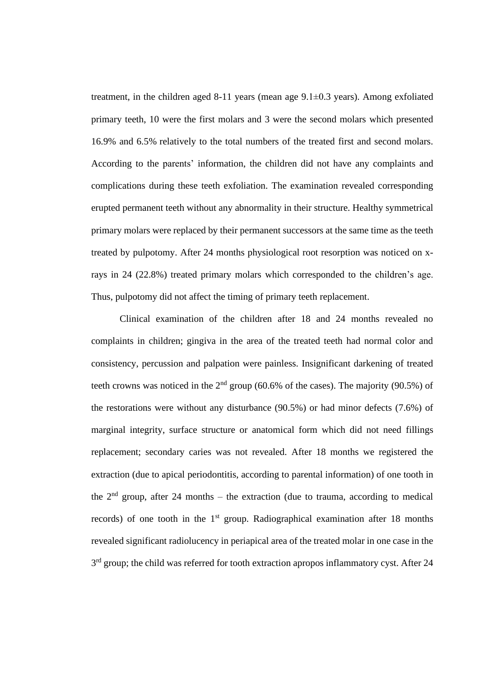treatment, in the children aged 8-11 years (mean age 9.1±0.3 years). Among exfoliated primary teeth, 10 were the first molars and 3 were the second molars which presented 16.9% and 6.5% relatively to the total numbers of the treated first and second molars. According to the parents' information, the children did not have any complaints and complications during these teeth exfoliation. The examination revealed corresponding erupted permanent teeth without any abnormality in their structure. Healthy symmetrical primary molars were replaced by their permanent successors at the same time as the teeth treated by pulpotomy. After 24 months physiological root resorption was noticed on xrays in 24 (22.8%) treated primary molars which corresponded to the children's age. Thus, pulpotomy did not affect the timing of primary teeth replacement.

Clinical examination of the children after 18 and 24 months revealed no complaints in children; gingiva in the area of the treated teeth had normal color and consistency, percussion and palpation were painless. Insignificant darkening of treated teeth crowns was noticed in the  $2<sup>nd</sup>$  group (60.6% of the cases). The majority (90.5%) of the restorations were without any disturbance (90.5%) or had minor defects (7.6%) of marginal integrity, surface structure or anatomical form which did not need fillings replacement; secondary caries was not revealed. After 18 months we registered the extraction (due to apical periodontitis, according to parental information) of one tooth in the  $2<sup>nd</sup>$  group, after 24 months – the extraction (due to trauma, according to medical records) of one tooth in the  $1<sup>st</sup>$  group. Radiographical examination after 18 months revealed significant radiolucency in periapical area of the treated molar in one case in the 3<sup>rd</sup> group; the child was referred for tooth extraction apropos inflammatory cyst. After 24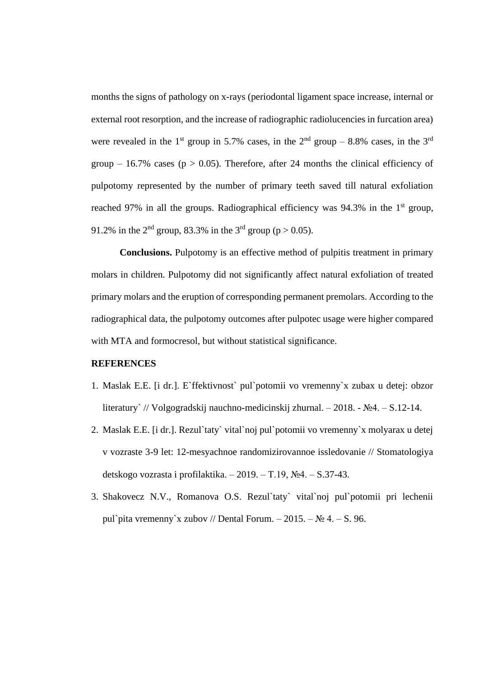months the signs of pathology on x-rays (periodontal ligament space increase, internal or external root resorption, and the increase of radiographic radiolucencies in furcation area) were revealed in the 1<sup>st</sup> group in 5.7% cases, in the  $2<sup>nd</sup>$  group – 8.8% cases, in the 3<sup>rd</sup> group – 16.7% cases ( $p > 0.05$ ). Therefore, after 24 months the clinical efficiency of pulpotomy represented by the number of primary teeth saved till natural exfoliation reached 97% in all the groups. Radiographical efficiency was 94.3% in the  $1<sup>st</sup>$  group, 91.2% in the 2<sup>nd</sup> group, 83.3% in the 3<sup>rd</sup> group (p > 0.05).

**Conclusions.** Pulpotomy is an effective method of pulpitis treatment in primary molars in children. Pulpotomy did not significantly affect natural exfoliation of treated primary molars and the eruption of corresponding permanent premolars. According to the radiographical data, the pulpotomy outcomes after pulpotec usage were higher compared with MTA and formocresol, but without statistical significance.

## **REFERENCES**

- 1. Maslak E.E. [i dr.]. E`ffektivnost` pul`potomii vo vremenny`x zubax u detej: obzor literatury` // Volgogradskij nauchno-medicinskij zhurnal. – 2018. - №4. – S.12-14.
- 2. Maslak E.E. [i dr.]. Rezul`taty` vital`noj pul`potomii vo vremenny`x molyarax u detej v vozraste 3-9 let: 12-mesyachnoe randomizirovannoe issledovanie // Stomatologiya detskogo vozrasta i profilaktika. – 2019. – T.19, №4. – S.37-43.
- 3. Shakovecz N.V., Romanova O.S. Rezul`taty` vital`noj pul`potomii pri lechenii pul`pita vremenny`x zubov // Dental Forum. – 2015. –  $\mathcal{N}_2$  4. – S. 96.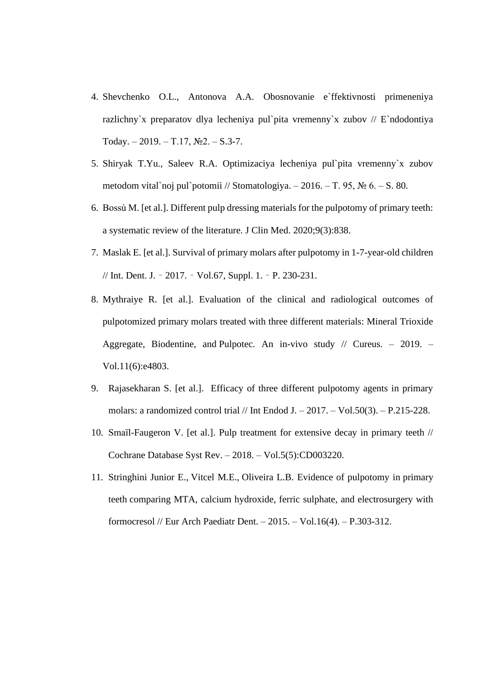- 4. Shevchenko O.L., Antonova A.A. Obosnovanie e`ffektivnosti primeneniya razlichny`x preparatov dlya lecheniya pul`pita vremenny`x zubov // E`ndodontiya Today. – 2019. – T.17,  $N<sub>2</sub>$ . – S.3-7.
- 5. Shiryak T.Yu., Saleev R.A. Optimizaciya lecheniya pul`pita vremenny`x zubov metodom vital`noj pul`potomii // Stomatologiya. – 2016. – T. 95,  $\mathcal{N}_2$  6. – S. 80.
- 6. [Bossù](https://pubmed.ncbi.nlm.nih.gov/?term=Boss%C3%B9+M&cauthor_id=32204501) M. [et al.]. Different pulp dressing materials for the pulpotomy of primary teeth: a systematic review of the literature. J Clin Med. 2020;9(3):838.
- 7. Maslak E. [et al.]. Survival of primary molars after pulpotomy in 1-7-year-old children // Int. Dent. J. – 2017. – Vol.67, Suppl. 1. – P. 230-231.
- 8. Mythraiye R. [et al.]. [Evaluation of the clinical and radiological outcomes of](https://pubmed.ncbi.nlm.nih.gov/31404393/)  pulpotomized primary [molars treated with three different materials: Mineral Trioxide](https://pubmed.ncbi.nlm.nih.gov/31404393/)  Aggregate, Biodentine, and [Pulpotec. An in-vivo study](https://pubmed.ncbi.nlm.nih.gov/31404393/) // Cureus. – 2019. – Vol.11(6):e4803.
- 9. [Rajasekharan S.](https://www.ncbi.nlm.nih.gov/pubmed/?term=Rajasekharan%20S%5BAuthor%5D&cauthor=true&cauthor_uid=26863893) [et al.]. Efficacy of three different pulpotomy agents in primary molars: a randomized control trial  $//$  [Int Endod J.](https://www.ncbi.nlm.nih.gov/pubmed/26863893)  $-2017. - Vol.50(3)$ .  $- P.215-228$ .
- 10. [Smaïl-Faugeron V.](https://www.ncbi.nlm.nih.gov/pubmed/?term=Sma%C3%AFl-Faugeron%20V%5BAuthor%5D&cauthor=true&cauthor_uid=29852056) [et al.]. Pulp treatment for extensive decay in primary teeth // [Cochrane Database Syst Rev.](https://www.ncbi.nlm.nih.gov/pubmed/29852056) – 2018. – Vol.5(5):CD003220.
- 11. [Stringhini Junior E.](https://www.ncbi.nlm.nih.gov/pubmed/?term=Stringhini%20Junior%20E%5BAuthor%5D&cauthor=true&cauthor_uid=25833280), [Vitcel M.E.](https://www.ncbi.nlm.nih.gov/pubmed/?term=Vitcel%20ME%5BAuthor%5D&cauthor=true&cauthor_uid=25833280), [Oliveira L.B.](https://www.ncbi.nlm.nih.gov/pubmed/?term=Oliveira%20LB%5BAuthor%5D&cauthor=true&cauthor_uid=25833280) Evidence of pulpotomy in primary teeth comparing MTA, calcium hydroxide, ferric sulphate, and electrosurgery with formocresol // [Eur Arch Paediatr Dent.](https://www.ncbi.nlm.nih.gov/pubmed/25833280) – 2015. – Vol.16(4). – P.303-312.